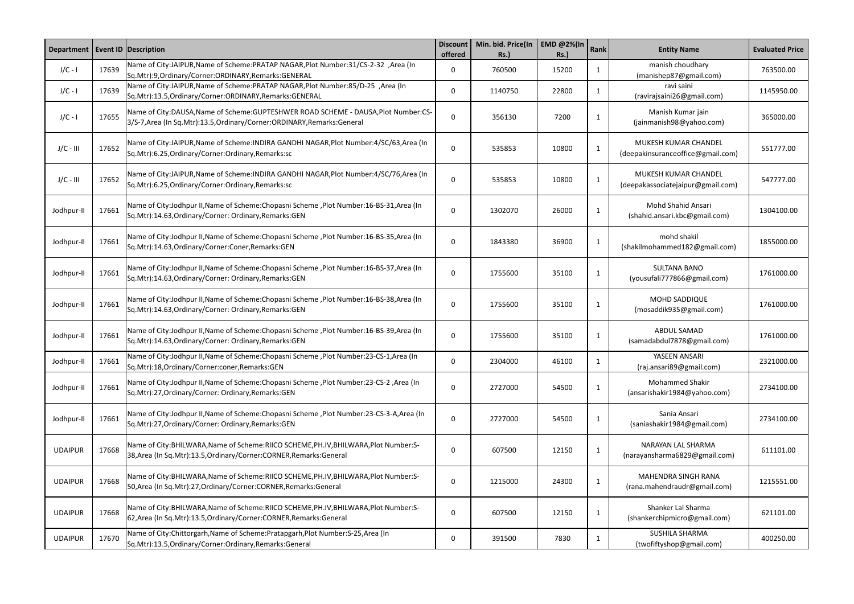| Department     |       | <b>Event ID Description</b>                                                                                                                                         | <b>Discount</b><br>offered | Min. bid. Price(In<br><b>Rs.)</b> | EMD @2%(In<br><b>Rs.)</b> | Rank         | <b>Entity Name</b>                                        | <b>Evaluated Price</b> |
|----------------|-------|---------------------------------------------------------------------------------------------------------------------------------------------------------------------|----------------------------|-----------------------------------|---------------------------|--------------|-----------------------------------------------------------|------------------------|
| $J/C - I$      | 17639 | Name of City:JAIPUR, Name of Scheme: PRATAP NAGAR, Plot Number: 31/CS-2-32, Area (In<br>Sq.Mtr):9,Ordinary/Corner:ORDINARY,Remarks:GENERAL                          | 0                          | 760500                            | 15200                     | 1            | manish choudhary<br>(manishep87@gmail.com)                | 763500.00              |
| $J/C - I$      | 17639 | Name of City:JAIPUR, Name of Scheme: PRATAP NAGAR, Plot Number: 85/D-25, Area (In<br>Sq.Mtr):13.5, Ordinary/Corner: ORDINARY, Remarks: GENERAL                      | 0                          | 1140750                           | 22800                     | $\mathbf{1}$ | ravi saini<br>(ravirajsaini26@gmail.com)                  | 1145950.00             |
| $J/C - I$      | 17655 | Name of City:DAUSA, Name of Scheme: GUPTESHWER ROAD SCHEME - DAUSA, Plot Number: CS-<br>3/S-7, Area (In Sq. Mtr): 13.5, Ordinary/Corner: ORDINARY, Remarks: General | 0                          | 356130                            | 7200                      | $\mathbf{1}$ | Manish Kumar jain<br>(jainmanish98@yahoo.com)             | 365000.00              |
| $J/C - III$    | 17652 | Name of City:JAIPUR, Name of Scheme: INDIRA GANDHI NAGAR, Plot Number: 4/SC/63, Area (In<br>Sq.Mtr):6.25, Ordinary/Corner: Ordinary, Remarks: sc                    | 0                          | 535853                            | 10800                     | $\mathbf{1}$ | MUKESH KUMAR CHANDEL<br>(deepakinsuranceoffice@gmail.com) | 551777.00              |
| $J/C - III$    | 17652 | Name of City:JAIPUR,Name of Scheme:INDIRA GANDHI NAGAR,Plot Number:4/SC/76,Area (In<br>Sq.Mtr):6.25, Ordinary/Corner: Ordinary, Remarks: sc                         | $\Omega$                   | 535853                            | 10800                     | $\mathbf{1}$ | MUKESH KUMAR CHANDEL<br>(deepakassociatejaipur@gmail.com) | 547777.00              |
| Jodhpur-II     | 17661 | Name of City:Jodhpur II, Name of Scheme:Chopasni Scheme , Plot Number:16-BS-31, Area (In<br>Sq.Mtr):14.63, Ordinary/Corner: Ordinary, Remarks: GEN                  | $\mathbf{0}$               | 1302070                           | 26000                     | 1            | Mohd Shahid Ansari<br>(shahid.ansari.kbc@gmail.com)       | 1304100.00             |
| Jodhpur-II     | 17661 | Name of City:Jodhpur II, Name of Scheme: Chopasni Scheme, Plot Number: 16-BS-35, Area (In<br>Sq.Mtr):14.63,Ordinary/Corner:Coner,Remarks:GEN                        | $\mathbf{0}$               | 1843380                           | 36900                     | $\mathbf{1}$ | mohd shakil<br>(shakilmohammed182@gmail.com)              | 1855000.00             |
| Jodhpur-II     | 17661 | Name of City:Jodhpur II, Name of Scheme:Chopasni Scheme ,Plot Number:16-BS-37, Area (In<br>Sq.Mtr):14.63, Ordinary/Corner: Ordinary, Remarks: GEN                   | $\Omega$                   | 1755600                           | 35100                     | 1            | <b>SULTANA BANO</b><br>(yousufali777866@gmail.com)        | 1761000.00             |
| Jodhpur-II     | 17661 | Name of City:Jodhpur II, Name of Scheme:Chopasni Scheme ,Plot Number:16-BS-38, Area (In<br>Sq.Mtr):14.63, Ordinary/Corner: Ordinary, Remarks: GEN                   | 0                          | 1755600                           | 35100                     | $\mathbf{1}$ | <b>MOHD SADDIQUE</b><br>(mosaddik935@gmail.com)           | 1761000.00             |
| Jodhpur-II     | 17661 | Name of City:Jodhpur II, Name of Scheme: Chopasni Scheme, Plot Number: 16-BS-39, Area (In<br>Sq.Mtr):14.63, Ordinary/Corner: Ordinary, Remarks: GEN                 | $\mathbf{0}$               | 1755600                           | 35100                     | $\mathbf{1}$ | ABDUL SAMAD<br>(samadabdul7878@gmail.com)                 | 1761000.00             |
| Jodhpur-II     | 17661 | Mame of City:Jodhpur II, Name of Scheme: Chopasni Scheme, Plot Number: 23-CS-1, Area (In<br>Sq.Mtr):18,Ordinary/Corner:coner,Remarks:GEN                            | 0                          | 2304000                           | 46100                     | 1            | YASEEN ANSARI<br>(raj.ansari89@gmail.com)                 | 2321000.00             |
| Jodhpur-II     | 17661 | Name of City:Jodhpur II, Name of Scheme:Chopasni Scheme, Plot Number:23-CS-2, Area (In<br>Sq.Mtr):27,Ordinary/Corner: Ordinary, Remarks: GEN                        | 0                          | 2727000                           | 54500                     | $\mathbf{1}$ | <b>Mohammed Shakir</b><br>(ansarishakir1984@yahoo.com)    | 2734100.00             |
| Jodhpur-II     | 17661 | Name of City:Jodhpur II, Name of Scheme: Chopasni Scheme , Plot Number: 23-CS-3-A, Area (In<br>Sq.Mtr):27,Ordinary/Corner: Ordinary, Remarks: GEN                   | 0                          | 2727000                           | 54500                     | $\mathbf{1}$ | Sania Ansari<br>(saniashakir1984@gmail.com)               | 2734100.00             |
| <b>UDAIPUR</b> | 17668 | Name of City:BHILWARA, Name of Scheme:RIICO SCHEME, PH.IV, BHILWARA, Plot Number: S-<br>38, Area (In Sq. Mtr): 13.5, Ordinary/Corner: CORNER, Remarks: General      | $\Omega$                   | 607500                            | 12150                     | $\mathbf 1$  | NARAYAN LAL SHARMA<br>(narayansharma6829@gmail.com)       | 611101.00              |
| <b>UDAIPUR</b> | 17668 | Name of City: BHILWARA, Name of Scheme: RIICO SCHEME, PH.IV, BHILWARA, Plot Number: S-<br>50, Area (In Sq. Mtr): 27, Ordinary/Corner: CORNER, Remarks: General      | 0                          | 1215000                           | 24300                     | $\mathbf{1}$ | MAHENDRA SINGH RANA<br>(rana.mahendraudr@gmail.com)       | 1215551.00             |
| <b>UDAIPUR</b> | 17668 | Name of City: BHILWARA, Name of Scheme: RIICO SCHEME, PH.IV, BHILWARA, Plot Number: S-<br>62, Area (In Sq. Mtr): 13.5, Ordinary/Corner: CORNER, Remarks: General    | 0                          | 607500                            | 12150                     | $\mathbf{1}$ | Shanker Lal Sharma<br>(shankerchipmicro@gmail.com)        | 621101.00              |
| <b>UDAIPUR</b> | 17670 | Name of City:Chittorgarh, Name of Scheme: Pratapgarh, Plot Number: S-25, Area (In<br>Sq.Mtr):13.5, Ordinary/Corner: Ordinary, Remarks: General                      | 0                          | 391500                            | 7830                      | 1            | <b>SUSHILA SHARMA</b><br>(twofiftyshop@gmail.com)         | 400250.00              |